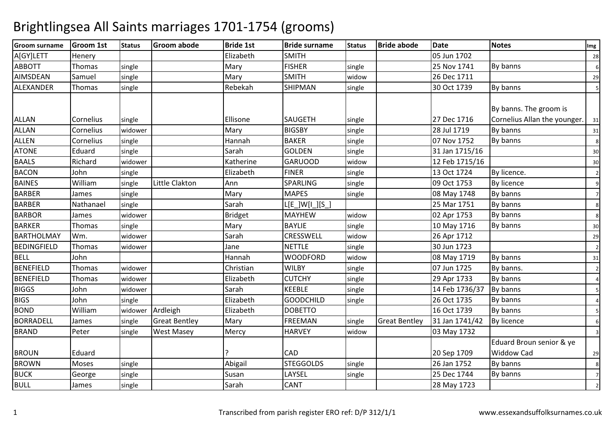| <b>Groom surname</b> | <b>Groom 1st</b> | <b>Status</b> | <b>Groom abode</b>   | <b>Bride 1st</b> | <b>Bride surname</b>  | <b>Status</b> | <b>Bride abode</b>   | Date           | <b>Notes</b>                                           | Img            |
|----------------------|------------------|---------------|----------------------|------------------|-----------------------|---------------|----------------------|----------------|--------------------------------------------------------|----------------|
| A[GY]LETT            | Henery           |               |                      | Elizabeth        | <b>SMITH</b>          |               |                      | 05 Jun 1702    |                                                        | 28             |
| <b>ABBOTT</b>        | Thomas           | single        |                      | Mary             | <b>FISHER</b>         | single        |                      | 25 Nov 1741    | By banns                                               | 6              |
| AIMSDEAN             | Samuel           | single        |                      | Mary             | <b>SMITH</b>          | widow         |                      | 26 Dec 1711    |                                                        | 29             |
| ALEXANDER            | <b>Thomas</b>    | single        |                      | Rebekah          | <b>SHIPMAN</b>        | single        |                      | 30 Oct 1739    | By banns                                               | 5              |
| <b>ALLAN</b>         | Cornelius        | single        |                      | Ellisone         | <b>SAUGETH</b>        | single        |                      | 27 Dec 1716    | By banns. The groom is<br>Cornelius Allan the younger. | 31             |
| <b>ALLAN</b>         | Cornelius        | widower       |                      | Mary             | <b>BIGSBY</b>         | single        |                      | 28 Jul 1719    | By banns                                               | 31             |
| <b>ALLEN</b>         | Cornelius        | single        |                      | Hannah           | <b>BAKER</b>          | single        |                      | 07 Nov 1752    | By banns                                               | 8              |
| <b>ATONE</b>         | Eduard           | single        |                      | Sarah            | <b>GOLDEN</b>         | single        |                      | 31 Jan 1715/16 |                                                        | 30             |
| <b>BAALS</b>         | Richard          | widower       |                      | Katherine        | <b>GARUOOD</b>        | widow         |                      | 12 Feb 1715/16 |                                                        | 30             |
| <b>BACON</b>         | John             | single        |                      | Elizabeth        | <b>FINER</b>          | single        |                      | 13 Oct 1724    | By licence.                                            | $\overline{2}$ |
| <b>BAINES</b>        | William          | single        | Little Clakton       | Ann              | <b>SPARLING</b>       | single        |                      | 09 Oct 1753    | By licence                                             | 9              |
| <b>BARBER</b>        | James            | single        |                      | Mary             | <b>MAPES</b>          | single        |                      | 08 May 1748    | By banns                                               | $\overline{7}$ |
| <b>BARBER</b>        | Nathanael        | single        |                      | Sarah            | $L[E_$ $]W[I_$ $][S_$ |               |                      | 25 Mar 1751    | By banns                                               | 8              |
| <b>BARBOR</b>        | James            | widower       |                      | <b>Bridget</b>   | <b>MAYHEW</b>         | widow         |                      | 02 Apr 1753    | By banns                                               | 8              |
| <b>BARKER</b>        | Thomas           | single        |                      | Mary             | <b>BAYLIE</b>         | single        |                      | 10 May 1716    | By banns                                               | 30             |
| <b>BARTHOLMAY</b>    | Wm.              | widower       |                      | Sarah            | CRESSWELL             | widow         |                      | 26 Apr 1712    |                                                        | 29             |
| <b>BEDINGFIELD</b>   | Thomas           | widower       |                      | Jane             | <b>NETTLE</b>         | single        |                      | 30 Jun 1723    |                                                        | $\overline{2}$ |
| <b>BELL</b>          | John             |               |                      | Hannah           | <b>WOODFORD</b>       | widow         |                      | 08 May 1719    | By banns                                               | 31             |
| <b>BENEFIELD</b>     | Thomas           | widower       |                      | Christian        | <b>WILBY</b>          | single        |                      | 07 Jun 1725    | By banns.                                              | $\overline{2}$ |
| <b>BENEFIELD</b>     | Thomas           | widower       |                      | Elizabeth        | <b>CUTCHY</b>         | single        |                      | 29 Apr 1733    | By banns                                               | 4              |
| <b>BIGGS</b>         | John             | widower       |                      | Sarah            | <b>KEEBLE</b>         | single        |                      | 14 Feb 1736/37 | By banns                                               | 5              |
| <b>BIGS</b>          | John             | single        |                      | Elizabeth        | <b>GOODCHILD</b>      | single        |                      | 26 Oct 1735    | By banns                                               | Δ              |
| <b>BOND</b>          | William          | widower       | Ardleigh             | Elizabeth        | <b>DOBETTO</b>        |               |                      | 16 Oct 1739    | By banns                                               | 5              |
| <b>BORRADELL</b>     | James            | single        | <b>Great Bentley</b> | Mary             | <b>FREEMAN</b>        | single        | <b>Great Bentley</b> | 31 Jan 1741/42 | <b>By licence</b>                                      | 6              |
| <b>BRAND</b>         | Peter            | single        | <b>West Masey</b>    | Mercy            | <b>HARVEY</b>         | widow         |                      | 03 May 1732    |                                                        | 3              |
|                      |                  |               |                      |                  |                       |               |                      |                | Eduard Broun senior & ye                               |                |
| <b>BROUN</b>         | Eduard           |               |                      |                  | <b>CAD</b>            |               |                      | 20 Sep 1709    | <b>Widdow Cad</b>                                      | 29             |
| <b>BROWN</b>         | Moses            | single        |                      | Abigail          | <b>STEGGOLDS</b>      | single        |                      | 26 Jan 1752    | By banns                                               | 8              |
| <b>BUCK</b>          | George           | single        |                      | Susan            | LAYSEL                | single        |                      | 25 Dec 1744    | By banns                                               | $\overline{7}$ |
| <b>BULL</b>          | James            | single        |                      | Sarah            | <b>CANT</b>           |               |                      | 28 May 1723    |                                                        | $\overline{2}$ |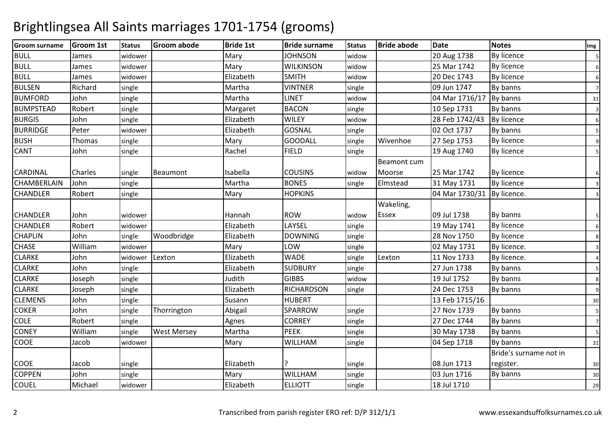| <b>Groom surname</b> | <b>Groom 1st</b> | <b>Status</b> | <b>Groom abode</b> | <b>Bride 1st</b> | <b>Bride surname</b> | <b>Status</b> | <b>Bride abode</b> | <b>Date</b>    | <b>Notes</b>           | Img            |
|----------------------|------------------|---------------|--------------------|------------------|----------------------|---------------|--------------------|----------------|------------------------|----------------|
| <b>BULL</b>          | James            | widower       |                    | Mary             | <b>JOHNSON</b>       | widow         |                    | 20 Aug 1738    | <b>By licence</b>      | 5              |
| <b>BULL</b>          | James            | widower       |                    | Mary             | <b>WILKINSON</b>     | widow         |                    | 25 Mar 1742    | <b>By licence</b>      | 6              |
| <b>BULL</b>          | James            | widower       |                    | Elizabeth        | <b>SMITH</b>         | widow         |                    | 20 Dec 1743    | By licence             | 6              |
| <b>BULSEN</b>        | Richard          | single        |                    | Martha           | <b>VINTNER</b>       | single        |                    | 09 Jun 1747    | By banns               | $\overline{7}$ |
| <b>BUMFORD</b>       | John             | single        |                    | Martha           | <b>LINET</b>         | widow         |                    | 04 Mar 1716/17 | By banns               | 31             |
| <b>BUMPSTEAD</b>     | Robert           | single        |                    | Margaret         | <b>BACON</b>         | single        |                    | 10 Sep 1731    | By banns               | 3              |
| <b>BURGIS</b>        | John             | single        |                    | Elizabeth        | <b>WILEY</b>         | widow         |                    | 28 Feb 1742/43 | By licence             | 6              |
| <b>BURRIDGE</b>      | Peter            | widower       |                    | Elizabeth        | GOSNAL               | single        |                    | 02 Oct 1737    | By banns               | 5              |
| <b>BUSH</b>          | Thomas           | single        |                    | Mary             | <b>GOODALL</b>       | single        | Wivenhoe           | 27 Sep 1753    | <b>By licence</b>      | 9              |
| <b>CANT</b>          | John             | single        |                    | Rachel           | <b>FIELD</b>         | single        |                    | 19 Aug 1740    | <b>By licence</b>      | 5              |
|                      |                  |               |                    |                  |                      |               | <b>Beamont cum</b> |                |                        |                |
| <b>CARDINAL</b>      | Charles          | single        | Beaumont           | Isabella         | <b>COUSINS</b>       | widow         | Moorse             | 25 Mar 1742    | By licence             | 6              |
| <b>CHAMBERLAIN</b>   | John             | single        |                    | Martha           | <b>BONES</b>         | single        | Elmstead           | 31 May 1731    | <b>By licence</b>      | 3              |
| <b>CHANDLER</b>      | Robert           | single        |                    | Mary             | <b>HOPKINS</b>       |               |                    | 04 Mar 1730/31 | By licence.            | 3              |
|                      |                  |               |                    |                  |                      |               | Wakeling,          |                |                        |                |
| <b>CHANDLER</b>      | John             | widower       |                    | Hannah           | <b>ROW</b>           | widow         | <b>Essex</b>       | 09 Jul 1738    | By banns               | 5              |
| <b>CHANDLER</b>      | Robert           | widower       |                    | Elizabeth        | LAYSEL               | single        |                    | 19 May 1741    | <b>By licence</b>      | 6              |
| <b>CHAPLIN</b>       | John             | single        | Woodbridge         | Elizabeth        | <b>DOWNING</b>       | single        |                    | 28 Nov 1750    | <b>By licence</b>      | 8              |
| <b>CHASE</b>         | William          | widower       |                    | Mary             | LOW                  | single        |                    | 02 May 1731    | By licence.            | 3              |
| <b>CLARKE</b>        | John             | widower       | Lexton             | Elizabeth        | <b>WADE</b>          | single        | Lexton             | 11 Nov 1733    | By licence.            | $\overline{4}$ |
| <b>CLARKE</b>        | John             | single        |                    | Elizabeth        | <b>SUDBURY</b>       | single        |                    | 27 Jun 1738    | By banns               | 5              |
| <b>CLARKE</b>        | Joseph           | single        |                    | Judith           | <b>GIBBS</b>         | widow         |                    | 19 Jul 1752    | By banns               | 8              |
| <b>CLARKE</b>        | Joseph           | single        |                    | Elizabeth        | <b>RICHARDSON</b>    | single        |                    | 24 Dec 1753    | By banns               | 9              |
| <b>CLEMENS</b>       | John             | single        |                    | Susann           | <b>HUBERT</b>        |               |                    | 13 Feb 1715/16 |                        | 30             |
| <b>COKER</b>         | John             | single        | Thorrington        | Abigail          | SPARROW              | single        |                    | 27 Nov 1739    | By banns               | 5              |
| <b>COLE</b>          | Robert           | single        |                    | Agnes            | <b>CORREY</b>        | single        |                    | 27 Dec 1744    | By banns               | $\overline{7}$ |
| <b>CONEY</b>         | William          | single        | <b>West Mersey</b> | Martha           | <b>PEEK</b>          | single        |                    | 30 May 1738    | By banns               | 5              |
| COOE                 | Jacob            | widower       |                    | Mary             | <b>WILLHAM</b>       | single        |                    | 04 Sep 1718    | By banns               | 31             |
|                      |                  |               |                    |                  |                      |               |                    |                | Bride's surname not in |                |
| <b>COOE</b>          | Jacob            | single        |                    | Elizabeth        |                      | single        |                    | 08 Jun 1713    | register.              | 30             |
| <b>COPPEN</b>        | John             | single        |                    | Mary             | WILLHAM              | single        |                    | 03 Jun 1716    | By banns               | 30             |
| <b>COUEL</b>         | Michael          | widower       |                    | Elizabeth        | <b>ELLIOTT</b>       | single        |                    | 18 Jul 1710    |                        | 29             |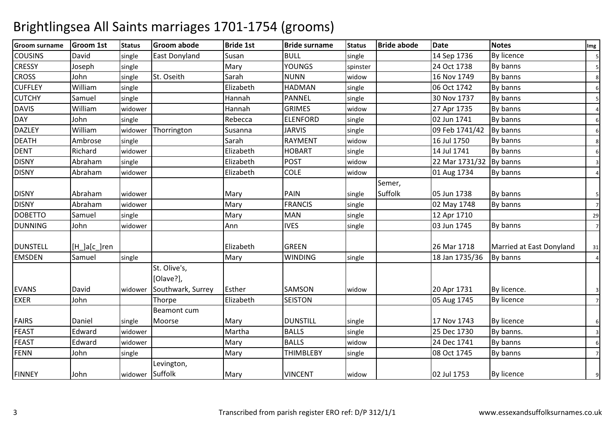| <b>Groom surname</b> | <b>Groom 1st</b> | <b>Status</b> | <b>Groom abode</b>   | <b>Bride 1st</b> | <b>Bride surname</b> | <b>Status</b> | <b>Bride abode</b> | <b>Date</b>    | <b>Notes</b>             | Img            |
|----------------------|------------------|---------------|----------------------|------------------|----------------------|---------------|--------------------|----------------|--------------------------|----------------|
| <b>COUSINS</b>       | David            | single        | <b>East Donyland</b> | Susan            | <b>BULL</b>          | single        |                    | 14 Sep 1736    | <b>By licence</b>        | 5              |
| <b>CRESSY</b>        | Joseph           | single        |                      | Mary             | <b>YOUNGS</b>        | spinster      |                    | 24 Oct 1738    | By banns                 | 5              |
| <b>CROSS</b>         | John             | single        | St. Oseith           | Sarah            | <b>NUNN</b>          | widow         |                    | 16 Nov 1749    | By banns                 | 8              |
| <b>CUFFLEY</b>       | William          | single        |                      | Elizabeth        | <b>HADMAN</b>        | single        |                    | 06 Oct 1742    | By banns                 | 6              |
| <b>CUTCHY</b>        | Samuel           | single        |                      | Hannah           | <b>PANNEL</b>        | single        |                    | 30 Nov 1737    | By banns                 |                |
| <b>DAVIS</b>         | William          | widower       |                      | Hannah           | <b>GRIMES</b>        | widow         |                    | 27 Apr 1735    | By banns                 |                |
| <b>DAY</b>           | John             | single        |                      | Rebecca          | <b>ELENFORD</b>      | single        |                    | 02 Jun 1741    | By banns                 | 6              |
| <b>DAZLEY</b>        | William          | widower       | Thorrington          | Susanna          | <b>JARVIS</b>        | single        |                    | 09 Feb 1741/42 | By banns                 | 6              |
| <b>DEATH</b>         | Ambrose          | single        |                      | Sarah            | <b>RAYMENT</b>       | widow         |                    | 16 Jul 1750    | By banns                 | 8              |
| <b>DENT</b>          | Richard          | widower       |                      | Elizabeth        | <b>HOBART</b>        | single        |                    | 14 Jul 1741    | By banns                 | 6              |
| <b>DISNY</b>         | Abraham          | single        |                      | Elizabeth        | POST                 | widow         |                    | 22 Mar 1731/32 | By banns                 | 3              |
| <b>DISNY</b>         | Abraham          | widower       |                      | Elizabeth        | <b>COLE</b>          | widow         |                    | 01 Aug 1734    | By banns                 |                |
|                      |                  |               |                      |                  |                      |               | Semer,             |                |                          |                |
| <b>DISNY</b>         | Abraham          | widower       |                      | Mary             | <b>PAIN</b>          | single        | Suffolk            | 05 Jun 1738    | By banns                 | 5              |
| <b>DISNY</b>         | Abraham          | widower       |                      | Mary             | <b>FRANCIS</b>       | single        |                    | 02 May 1748    | By banns                 | $\overline{7}$ |
| <b>DOBETTO</b>       | Samuel           | single        |                      | Mary             | <b>MAN</b>           | single        |                    | 12 Apr 1710    |                          | 29             |
| <b>DUNNING</b>       | John             | widower       |                      | Ann              | <b>IVES</b>          | single        |                    | 03 Jun 1745    | By banns                 | $\overline{7}$ |
|                      |                  |               |                      |                  |                      |               |                    |                |                          |                |
| <b>DUNSTELL</b>      | [H_]a[c_]ren     |               |                      | Elizabeth        | <b>GREEN</b>         |               |                    | 26 Mar 1718    | Married at East Donyland | 31             |
| <b>EMSDEN</b>        | Samuel           | single        |                      | Mary             | <b>WINDING</b>       | single        |                    | 18 Jan 1735/36 | By banns                 | $\overline{4}$ |
|                      |                  |               | St. Olive's,         |                  |                      |               |                    |                |                          |                |
|                      |                  |               | [Olave?],            |                  |                      |               |                    |                |                          |                |
| <b>EVANS</b>         | David            | widower       | Southwark, Surrey    | Esther           | <b>SAMSON</b>        | widow         |                    | 20 Apr 1731    | By licence.              | 3              |
| <b>EXER</b>          | John             |               | Thorpe               | Elizabeth        | <b>SEISTON</b>       |               |                    | 05 Aug 1745    | <b>By licence</b>        | $\overline{7}$ |
|                      |                  |               | <b>Beamont cum</b>   |                  |                      |               |                    |                |                          |                |
| <b>FAIRS</b>         | Daniel           | single        | Moorse               | Mary             | <b>DUNSTILL</b>      | single        |                    | 17 Nov 1743    | By licence               | 6              |
| FEAST                | Edward           | widower       |                      | Martha           | <b>BALLS</b>         | single        |                    | 25 Dec 1730    | By banns.                | 3              |
| <b>FEAST</b>         | Edward           | widower       |                      | Mary             | <b>BALLS</b>         | widow         |                    | 24 Dec 1741    | By banns                 | 6              |
| <b>FENN</b>          | John             | single        |                      | Mary             | <b>THIMBLEBY</b>     | single        |                    | 08 Oct 1745    | By banns                 | $\overline{7}$ |
|                      |                  |               | Levington,           |                  |                      |               |                    |                |                          |                |
| <b>FINNEY</b>        | John             | widower       | Suffolk              | Mary             | <b>VINCENT</b>       | widow         |                    | 02 Jul 1753    | By licence               | 9              |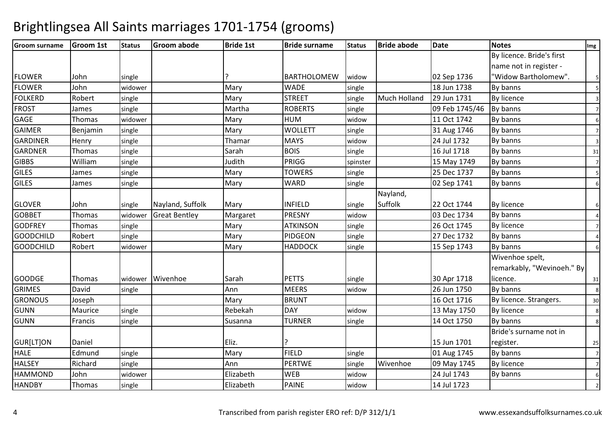| <b>Groom surname</b> | <b>Groom 1st</b> | <b>Status</b> | <b>Groom abode</b>   | <b>Bride 1st</b> | <b>Bride surname</b> | <b>Status</b> | <b>Bride abode</b>  | Date           | <b>Notes</b>               | Img              |
|----------------------|------------------|---------------|----------------------|------------------|----------------------|---------------|---------------------|----------------|----------------------------|------------------|
|                      |                  |               |                      |                  |                      |               |                     |                | By licence. Bride's first  |                  |
|                      |                  |               |                      |                  |                      |               |                     |                | name not in register -     |                  |
| <b>FLOWER</b>        | John             | single        |                      |                  | <b>BARTHOLOMEW</b>   | widow         |                     | 02 Sep 1736    | "Widow Bartholomew".       | 5                |
| <b>FLOWER</b>        | John             | widower       |                      | Mary             | <b>WADE</b>          | single        |                     | 18 Jun 1738    | By banns                   |                  |
| <b>FOLKERD</b>       | Robert           | single        |                      | Mary             | <b>STREET</b>        | single        | <b>Much Holland</b> | 29 Jun 1731    | <b>By licence</b>          | $\overline{3}$   |
| <b>FROST</b>         | James            | single        |                      | Martha           | <b>ROBERTS</b>       | single        |                     | 09 Feb 1745/46 | By banns                   | $\overline{7}$   |
| <b>GAGE</b>          | Thomas           | widower       |                      | Mary             | <b>HUM</b>           | widow         |                     | 11 Oct 1742    | By banns                   | 6                |
| <b>GAIMER</b>        | Benjamin         | single        |                      | Mary             | <b>WOLLETT</b>       | single        |                     | 31 Aug 1746    | By banns                   | $\overline{7}$   |
| <b>GARDINER</b>      | Henry            | single        |                      | Thamar           | <b>MAYS</b>          | widow         |                     | 24 Jul 1732    | By banns                   | $\overline{3}$   |
| <b>GARDNER</b>       | Thomas           | single        |                      | Sarah            | <b>BOIS</b>          | single        |                     | 16 Jul 1718    | By banns                   | 31               |
| <b>GIBBS</b>         | William          | single        |                      | Judith           | PRIGG                | spinster      |                     | 15 May 1749    | By banns                   | $\overline{7}$   |
| <b>GILES</b>         | James            | single        |                      | Mary             | <b>TOWERS</b>        | single        |                     | 25 Dec 1737    | By banns                   | 5                |
| <b>GILES</b>         | James            | single        |                      | Mary             | WARD                 | single        |                     | 02 Sep 1741    | By banns                   | 6                |
|                      |                  |               |                      |                  |                      |               | Nayland,            |                |                            |                  |
| <b>GLOVER</b>        | John             | single        | Nayland, Suffolk     | Mary             | <b>INFIELD</b>       | single        | Suffolk             | 22 Oct 1744    | <b>By licence</b>          | $6 \overline{6}$ |
| <b>GOBBET</b>        | Thomas           | widower       | <b>Great Bentley</b> | Margaret         | <b>PRESNY</b>        | widow         |                     | 03 Dec 1734    | By banns                   |                  |
| <b>GODFREY</b>       | Thomas           | single        |                      | Mary             | <b>ATKINSON</b>      | single        |                     | 26 Oct 1745    | <b>By licence</b>          | $\overline{7}$   |
| <b>GOODCHILD</b>     | Robert           | single        |                      | Mary             | PIDGEON              | single        |                     | 27 Dec 1732    | By banns                   |                  |
| <b>GOODCHILD</b>     | Robert           | widower       |                      | Mary             | <b>HADDOCK</b>       | single        |                     | 15 Sep 1743    | By banns                   | 6                |
|                      |                  |               |                      |                  |                      |               |                     |                | Wivenhoe spelt,            |                  |
|                      |                  |               |                      |                  |                      |               |                     |                | remarkably, "Wevinoeh." By |                  |
| <b>GOODGE</b>        | Thomas           |               | widower Wivenhoe     | Sarah            | <b>PETTS</b>         | single        |                     | 30 Apr 1718    | licence.                   | 31               |
| <b>GRIMES</b>        | David            | single        |                      | Ann              | <b>MEERS</b>         | widow         |                     | 26 Jun 1750    | By banns                   | 8                |
| <b>GRONOUS</b>       | Joseph           |               |                      | Mary             | <b>BRUNT</b>         |               |                     | 16 Oct 1716    | By licence. Strangers.     | 30               |
| <b>GUNN</b>          | Maurice          | single        |                      | Rebekah          | <b>DAY</b>           | widow         |                     | 13 May 1750    | <b>By licence</b>          | 8                |
| <b>GUNN</b>          | Francis          | single        |                      | Susanna          | <b>TURNER</b>        | single        |                     | 14 Oct 1750    | By banns                   | 8                |
|                      |                  |               |                      |                  |                      |               |                     |                | Bride's surname not in     |                  |
| GUR[LT]ON            | Daniel           |               |                      | Eliz.            |                      |               |                     | 15 Jun 1701    | register.                  | 25               |
| <b>HALE</b>          | Edmund           | single        |                      | Mary             | <b>FIELD</b>         | single        |                     | 01 Aug 1745    | By banns                   | $\overline{7}$   |
| <b>HALSEY</b>        | Richard          | single        |                      | Ann              | <b>PERTWE</b>        | single        | Wivenhoe            | 09 May 1745    | <b>By licence</b>          | $\overline{7}$   |
| <b>HAMMOND</b>       | John             | widower       |                      | Elizabeth        | <b>WEB</b>           | widow         |                     | 24 Jul 1743    | By banns                   | 6                |
| <b>HANDBY</b>        | Thomas           | single        |                      | Elizabeth        | <b>PAINE</b>         | widow         |                     | 14 Jul 1723    |                            | $\overline{2}$   |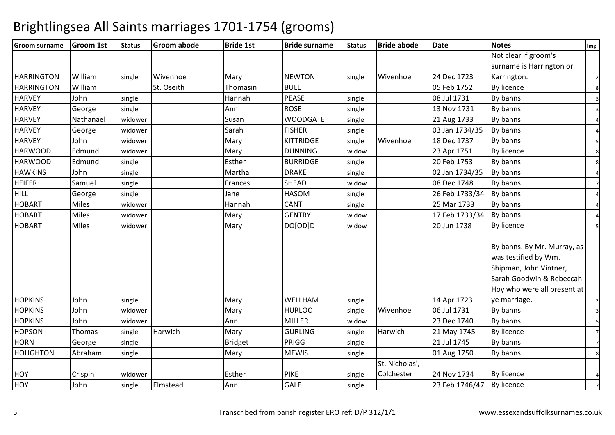| <b>Groom surname</b>             | Groom 1st    | <b>Status</b> | <b>Groom abode</b> | <b>Bride 1st</b> | <b>Bride surname</b>     | <b>Status</b> | <b>Bride abode</b> | Date                       | <b>Notes</b>                | Img            |
|----------------------------------|--------------|---------------|--------------------|------------------|--------------------------|---------------|--------------------|----------------------------|-----------------------------|----------------|
|                                  |              |               |                    |                  |                          |               |                    |                            | Not clear if groom's        |                |
|                                  |              |               |                    |                  |                          |               |                    |                            | surname is Harrington or    |                |
| <b>HARRINGTON</b>                | William      | single        | Wivenhoe           | Mary             | <b>NEWTON</b>            | single        | Wivenhoe           | 24 Dec 1723                | Karrington.                 | $\overline{2}$ |
| <b>HARRINGTON</b>                | William      |               | St. Oseith         | Thomasin         | <b>BULL</b>              |               |                    | 05 Feb 1752                | <b>By licence</b>           | 8              |
| <b>HARVEY</b>                    | John         | single        |                    | Hannah           | <b>PEASE</b>             | single        |                    | 08 Jul 1731                | By banns                    | 3              |
| <b>HARVEY</b>                    | George       | single        |                    | Ann              | <b>ROSE</b>              | single        |                    | 13 Nov 1731                | By banns                    | 3              |
| <b>HARVEY</b>                    | Nathanael    | widower       |                    | Susan            | <b>WOODGATE</b>          | single        |                    | 21 Aug 1733                | By banns                    | 4              |
| <b>HARVEY</b>                    | George       | widower       |                    | Sarah            | <b>FISHER</b>            | single        |                    | 03 Jan 1734/35             | By banns                    |                |
| <b>HARVEY</b>                    | John         | widower       |                    | Mary             | <b>KITTRIDGE</b>         | single        | Wivenhoe           | 18 Dec 1737                | By banns                    | 5              |
| <b>HARWOOD</b>                   | Edmund       | widower       |                    | Mary             | <b>DUNNING</b>           | widow         |                    | 23 Apr 1751                | <b>By licence</b>           | 8              |
| <b>HARWOOD</b>                   | Edmund       | single        |                    | Esther           | <b>BURRIDGE</b>          | single        |                    | 20 Feb 1753                | By banns                    | 8              |
| <b>HAWKINS</b>                   | John         | single        |                    | Martha           | <b>DRAKE</b>             | single        |                    | 02 Jan 1734/35             | By banns                    |                |
| <b>HEIFER</b>                    | Samuel       | single        |                    | Frances          | <b>SHEAD</b>             | widow         |                    | 08 Dec 1748                | By banns                    | $\overline{7}$ |
| <b>HILL</b>                      | George       | single        |                    | Jane             | <b>HASOM</b>             | single        |                    | 26 Feb 1733/34             | By banns                    | $\overline{4}$ |
| <b>HOBART</b>                    | <b>Miles</b> | widower       |                    | Hannah           | <b>CANT</b>              | single        |                    | 25 Mar 1733                | By banns                    | $\Delta$       |
| <b>HOBART</b>                    | <b>Miles</b> | widower       |                    | Mary             | <b>GENTRY</b>            | widow         |                    | 17 Feb 1733/34             | By banns                    |                |
| <b>HOBART</b>                    | <b>Miles</b> | widower       |                    | Mary             | DO[OD]D                  | widow         |                    | 20 Jun 1738                | <b>By licence</b>           |                |
|                                  |              |               |                    |                  |                          |               |                    |                            |                             |                |
|                                  |              |               |                    |                  |                          |               |                    |                            | By banns. By Mr. Murray, as |                |
|                                  |              |               |                    |                  |                          |               |                    |                            | was testified by Wm.        |                |
|                                  |              |               |                    |                  |                          |               |                    |                            | Shipman, John Vintner,      |                |
|                                  |              |               |                    |                  |                          |               |                    |                            | Sarah Goodwin & Rebeccah    |                |
|                                  |              |               |                    |                  |                          |               |                    |                            | Hoy who were all present at |                |
| <b>HOPKINS</b><br><b>HOPKINS</b> | John<br>John | single        |                    | Mary<br>Mary     | WELLHAM<br><b>HURLOC</b> | single        | Wivenhoe           | 14 Apr 1723<br>06 Jul 1731 | ye marriage.                | $\overline{2}$ |
|                                  |              | widower       |                    |                  |                          | single        |                    | 23 Dec 1740                | By banns                    | 3              |
| <b>HOPKINS</b>                   | John         | widower       |                    | Ann              | <b>MILLER</b>            | widow         |                    |                            | By banns                    | 5              |
| <b>HOPSON</b>                    | Thomas       | single        | Harwich            | Mary             | <b>GURLING</b>           | single        | Harwich            | 21 May 1745                | <b>By licence</b>           | $\overline{7}$ |
| <b>HORN</b>                      | George       | single        |                    | <b>Bridget</b>   | PRIGG                    | single        |                    | 21 Jul 1745                | By banns                    | $\overline{7}$ |
| <b>HOUGHTON</b>                  | Abraham      | single        |                    | Mary             | <b>MEWIS</b>             | single        |                    | 01 Aug 1750                | By banns                    | 8              |
|                                  |              |               |                    |                  |                          |               | St. Nicholas',     |                            |                             |                |
| <b>HOY</b>                       | Crispin      | widower       |                    | Esther           | <b>PIKE</b>              | single        | Colchester         | 24 Nov 1734                | By licence                  | $\overline{4}$ |
| HOY                              | John         | single        | Elmstead           | Ann              | <b>GALE</b>              | single        |                    | 23 Feb 1746/47             | By licence                  | $\overline{7}$ |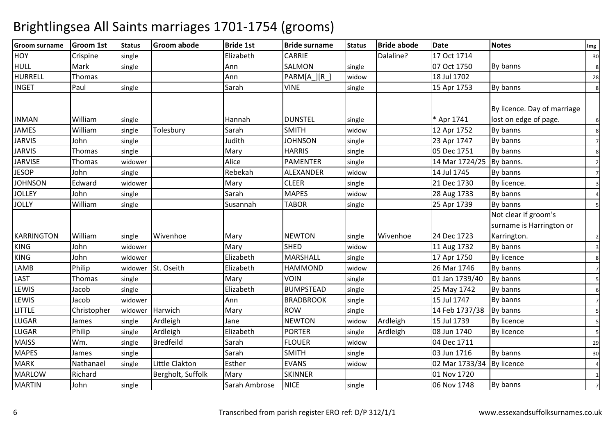| <b>Groom surname</b> | <b>Groom 1st</b> | <b>Status</b> | <b>Groom abode</b> | <b>Bride 1st</b> | <b>Bride surname</b> | <b>Status</b> | <b>Bride abode</b> | <b>Date</b>    | <b>Notes</b>                | Img            |
|----------------------|------------------|---------------|--------------------|------------------|----------------------|---------------|--------------------|----------------|-----------------------------|----------------|
| <b>HOY</b>           | Crispine         | single        |                    | Elizabeth        | <b>CARRIE</b>        |               | Dalaline?          | 17 Oct 1714    |                             | 30             |
| <b>HULL</b>          | Mark             | single        |                    | Ann              | <b>SALMON</b>        | single        |                    | 07 Oct 1750    | By banns                    | $\bf8$         |
| <b>HURRELL</b>       | Thomas           |               |                    | Ann              | PARM[A_][R_]         | widow         |                    | 18 Jul 1702    |                             | 28             |
| <b>INGET</b>         | Paul             | single        |                    | Sarah            | <b>VINE</b>          | single        |                    | 15 Apr 1753    | By banns                    | 8              |
|                      |                  |               |                    |                  |                      |               |                    |                |                             |                |
|                      |                  |               |                    |                  |                      |               |                    |                | By licence. Day of marriage |                |
| <b>INMAN</b>         | William          | single        |                    | Hannah           | <b>DUNSTEL</b>       | single        |                    | * Apr 1741     | lost on edge of page.       | 6              |
| <b>JAMES</b>         | William          | single        | Tolesbury          | Sarah            | <b>SMITH</b>         | widow         |                    | 12 Apr 1752    | By banns                    | 8              |
| <b>JARVIS</b>        | John             | single        |                    | Judith           | <b>JOHNSON</b>       | single        |                    | 23 Apr 1747    | By banns                    | $\overline{7}$ |
| <b>JARVIS</b>        | Thomas           | single        |                    | Mary             | <b>HARRIS</b>        | single        |                    | 05 Dec 1751    | By banns                    | 8              |
| <b>JARVISE</b>       | Thomas           | widower       |                    | Alice            | <b>PAMENTER</b>      | single        |                    | 14 Mar 1724/25 | By banns.                   | $\overline{2}$ |
| <b>JESOP</b>         | John             | single        |                    | Rebekah          | <b>ALEXANDER</b>     | widow         |                    | 14 Jul 1745    | By banns                    | $\overline{7}$ |
| <b>JOHNSON</b>       | Edward           | widower       |                    | Mary             | <b>CLEER</b>         | single        |                    | 21 Dec 1730    | By licence.                 | $\overline{3}$ |
| <b>JOLLEY</b>        | John             | single        |                    | Sarah            | <b>MAPES</b>         | widow         |                    | 28 Aug 1733    | By banns                    | $\overline{a}$ |
| <b>JOLLY</b>         | William          | single        |                    | Susannah         | <b>TABOR</b>         | single        |                    | 25 Apr 1739    | By banns                    |                |
|                      |                  |               |                    |                  |                      |               |                    |                | Not clear if groom's        |                |
|                      |                  |               |                    |                  |                      |               |                    |                | surname is Harrington or    |                |
| <b>KARRINGTON</b>    | William          | single        | Wivenhoe           | Mary             | <b>NEWTON</b>        | single        | Wivenhoe           | 24 Dec 1723    | Karrington.                 | $\overline{2}$ |
| <b>KING</b>          | John             | widower       |                    | Mary             | <b>SHED</b>          | widow         |                    | 11 Aug 1732    | By banns                    | $\overline{3}$ |
| <b>KING</b>          | John             | widower       |                    | Elizabeth        | <b>MARSHALL</b>      | single        |                    | 17 Apr 1750    | <b>By licence</b>           | 8              |
| LAMB                 | Philip           | widower       | St. Oseith         | Elizabeth        | <b>HAMMOND</b>       | widow         |                    | 26 Mar 1746    | By banns                    | $\overline{7}$ |
| LAST                 | Thomas           | single        |                    | Mary             | <b>VOIN</b>          | single        |                    | 01 Jan 1739/40 | By banns                    | 5              |
| LEWIS                | Jacob            | single        |                    | Elizabeth        | <b>BUMPSTEAD</b>     | single        |                    | 25 May 1742    | By banns                    | 6              |
| LEWIS                | Jacob            | widower       |                    | Ann              | <b>BRADBROOK</b>     | single        |                    | 15 Jul 1747    | By banns                    | $\overline{7}$ |
| <b>LITTLE</b>        | Christopher      | widower       | Harwich            | Mary             | <b>ROW</b>           | single        |                    | 14 Feb 1737/38 | By banns                    |                |
| <b>LUGAR</b>         | James            | single        | Ardleigh           | Jane             | <b>NEWTON</b>        | widow         | Ardleigh           | 15 Jul 1739    | <b>By licence</b>           | 5              |
| <b>LUGAR</b>         | Philip           | single        | Ardleigh           | Elizabeth        | <b>PORTER</b>        | single        | Ardleigh           | 08 Jun 1740    | <b>By licence</b>           |                |
| <b>MAISS</b>         | Wm.              | single        | <b>Bredfeild</b>   | Sarah            | <b>FLOUER</b>        | widow         |                    | 04 Dec 1711    |                             | 29             |
| <b>MAPES</b>         | James            | single        |                    | Sarah            | <b>SMITH</b>         | single        |                    | 03 Jun 1716    | By banns                    | 30             |
| <b>MARK</b>          | Nathanael        | single        | Little Clakton     | Esther           | <b>EVANS</b>         | widow         |                    | 02 Mar 1733/34 | By licence                  | $\overline{4}$ |
| <b>MARLOW</b>        | Richard          |               | Bergholt, Suffolk  | Mary             | <b>SKINNER</b>       |               |                    | 01 Nov 1720    |                             | $\overline{1}$ |
| <b>MARTIN</b>        | John             | single        |                    | Sarah Ambrose    | <b>NICE</b>          | single        |                    | 06 Nov 1748    | By banns                    | $\overline{7}$ |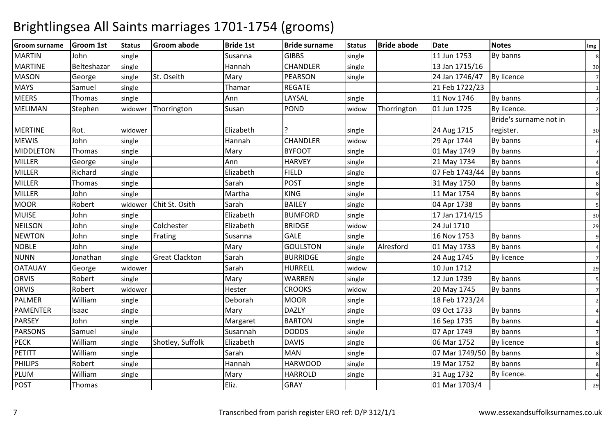| <b>Groom surname</b> | <b>Groom 1st</b> | <b>Status</b> | <b>Groom abode</b>    | <b>Bride 1st</b> | <b>Bride surname</b> | <b>Status</b> | <b>Bride abode</b> | <b>Date</b>    | <b>Notes</b>           | Img            |
|----------------------|------------------|---------------|-----------------------|------------------|----------------------|---------------|--------------------|----------------|------------------------|----------------|
| <b>MARTIN</b>        | John             | single        |                       | Susanna          | <b>GIBBS</b>         | single        |                    | 11 Jun 1753    | By banns               | 8              |
| <b>MARTINE</b>       | Belteshazar      | single        |                       | Hannah           | <b>CHANDLER</b>      | single        |                    | 13 Jan 1715/16 |                        | 30             |
| <b>MASON</b>         | George           | single        | St. Oseith            | Mary             | <b>PEARSON</b>       | single        |                    | 24 Jan 1746/47 | By licence             | $\overline{7}$ |
| <b>MAYS</b>          | Samuel           | single        |                       | Thamar           | <b>REGATE</b>        |               |                    | 21 Feb 1722/23 |                        | 1              |
| <b>MEERS</b>         | Thomas           | single        |                       | Ann              | LAYSAL               | single        |                    | 11 Nov 1746    | By banns               | $\overline{7}$ |
| MELIMAN              | Stephen          | widower       | Thorrington           | Susan            | <b>POND</b>          | widow         | Thorrington        | 01 Jun 1725    | By licence.            | $\overline{2}$ |
|                      |                  |               |                       |                  |                      |               |                    |                | Bride's surname not in |                |
| <b>MERTINE</b>       | Rot.             | widower       |                       | Elizabeth        |                      | single        |                    | 24 Aug 1715    | register.              | 30             |
| <b>MEWIS</b>         | John             | single        |                       | Hannah           | <b>CHANDLER</b>      | widow         |                    | 29 Apr 1744    | By banns               | 6              |
| <b>MIDDLETON</b>     | Thomas           | single        |                       | Mary             | <b>BYFOOT</b>        | single        |                    | 01 May 1749    | By banns               | $\overline{7}$ |
| <b>MILLER</b>        | George           | single        |                       | Ann              | <b>HARVEY</b>        | single        |                    | 21 May 1734    | By banns               | $\overline{a}$ |
| <b>MILLER</b>        | Richard          | single        |                       | Elizabeth        | <b>FIELD</b>         | single        |                    | 07 Feb 1743/44 | By banns               | 6              |
| <b>MILLER</b>        | Thomas           | single        |                       | Sarah            | <b>POST</b>          | single        |                    | 31 May 1750    | By banns               | 8              |
| MILLER               | John             | single        |                       | Martha           | <b>KING</b>          | single        |                    | 11 Mar 1754    | By banns               | 9              |
| <b>MOOR</b>          | Robert           | widower       | Chit St. Osith        | Sarah            | <b>BAILEY</b>        | single        |                    | 04 Apr 1738    | By banns               | 5              |
| <b>MUISE</b>         | John             | single        |                       | Elizabeth        | <b>BUMFORD</b>       | single        |                    | 17 Jan 1714/15 |                        | 30             |
| <b>NEILSON</b>       | John             | single        | Colchester            | Elizabeth        | <b>BRIDGE</b>        | widow         |                    | 24 Jul 1710    |                        | 29             |
| <b>NEWTON</b>        | John             | single        | Frating               | Susanna          | <b>GALE</b>          | single        |                    | 16 Nov 1753    | By banns               | 9              |
| <b>NOBLE</b>         | John             | single        |                       | Mary             | <b>GOULSTON</b>      | single        | Alresford          | 01 May 1733    | By banns               | $\overline{4}$ |
| <b>NUNN</b>          | Jonathan         | single        | <b>Great Clackton</b> | Sarah            | <b>BURRIDGE</b>      | single        |                    | 24 Aug 1745    | By licence             | $\overline{7}$ |
| <b>OATAUAY</b>       | George           | widower       |                       | Sarah            | <b>HURRELL</b>       | widow         |                    | 10 Jun 1712    |                        | 29             |
| ORVIS                | Robert           | single        |                       | Mary             | <b>WARREN</b>        | single        |                    | 12 Jun 1739    | By banns               | 5              |
| <b>ORVIS</b>         | Robert           | widower       |                       | Hester           | <b>CROOKS</b>        | widow         |                    | 20 May 1745    | By banns               | $\overline{7}$ |
| <b>PALMER</b>        | William          | single        |                       | Deborah          | <b>MOOR</b>          | single        |                    | 18 Feb 1723/24 |                        | $\overline{2}$ |
| PAMENTER             | Isaac            | single        |                       | Mary             | <b>DAZLY</b>         | single        |                    | 09 Oct 1733    | By banns               | $\overline{a}$ |
| <b>PARSEY</b>        | John             | single        |                       | Margaret         | <b>BARTON</b>        | single        |                    | 16 Sep 1735    | By banns               | Δ              |
| <b>PARSONS</b>       | Samuel           | single        |                       | Susannah         | <b>DODDS</b>         | single        |                    | 07 Apr 1749    | By banns               | $\overline{7}$ |
| <b>PECK</b>          | William          | single        | Shotley, Suffolk      | Elizabeth        | <b>DAVIS</b>         | single        |                    | 06 Mar 1752    | By licence             | 8              |
| PETITT               | William          | single        |                       | Sarah            | <b>MAN</b>           | single        |                    | 07 Mar 1749/50 | By banns               | 8              |
| PHILIPS              | Robert           | single        |                       | Hannah           | <b>HARWOOD</b>       | single        |                    | 19 Mar 1752    | By banns               | 8              |
| <b>PLUM</b>          | William          | single        |                       | Mary             | <b>HARROLD</b>       | single        |                    | 31 Aug 1732    | By licence.            |                |
| <b>POST</b>          | Thomas           |               |                       | Eliz.            | <b>GRAY</b>          |               |                    | 01 Mar 1703/4  |                        | 29             |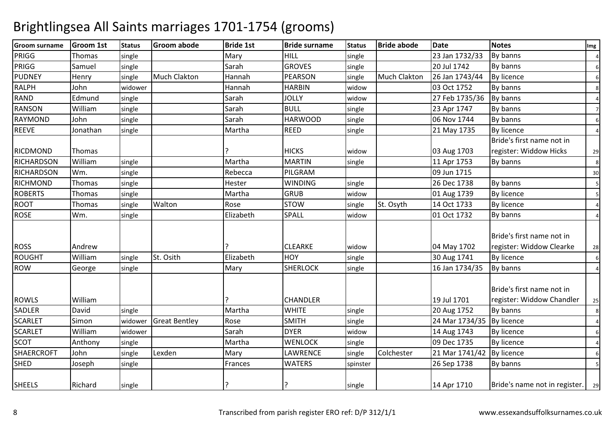| <b>Groom surname</b> | <b>Groom 1st</b> | <b>Status</b> | <b>Groom abode</b>   | <b>Bride 1st</b> | <b>Bride surname</b> | <b>Status</b> | <b>Bride abode</b>  | <b>Date</b>    | <b>Notes</b>                       | Img              |
|----------------------|------------------|---------------|----------------------|------------------|----------------------|---------------|---------------------|----------------|------------------------------------|------------------|
| PRIGG                | Thomas           | single        |                      | Mary             | HILL                 | single        |                     | 23 Jan 1732/33 | By banns                           | $\overline{a}$   |
| PRIGG                | Samuel           | single        |                      | Sarah            | <b>GROVES</b>        | single        |                     | 20 Jul 1742    | By banns                           | 6                |
| <b>PUDNEY</b>        | Henry            | single        | Much Clakton         | Hannah           | <b>PEARSON</b>       | single        | <b>Much Clakton</b> | 26 Jan 1743/44 | By licence                         | $6 \overline{6}$ |
| <b>RALPH</b>         | John             | widower       |                      | Hannah           | <b>HARBIN</b>        | widow         |                     | 03 Oct 1752    | By banns                           | 8                |
| <b>RAND</b>          | Edmund           | single        |                      | Sarah            | <b>JOLLY</b>         | widow         |                     | 27 Feb 1735/36 | By banns                           | $\overline{4}$   |
| <b>RANSON</b>        | William          | single        |                      | Sarah            | <b>BULL</b>          | single        |                     | 23 Apr 1747    | By banns                           | $\overline{7}$   |
| <b>RAYMOND</b>       | John             | single        |                      | Sarah            | <b>HARWOOD</b>       | single        |                     | 06 Nov 1744    | By banns                           | $6 \overline{6}$ |
| <b>REEVE</b>         | Jonathan         | single        |                      | Martha           | <b>REED</b>          | single        |                     | 21 May 1735    | <b>By licence</b>                  | $\overline{4}$   |
|                      |                  |               |                      |                  |                      |               |                     |                | Bride's first name not in          |                  |
| RICDMOND             | Thomas           |               |                      |                  | <b>HICKS</b>         | widow         |                     | 03 Aug 1703    | register: Widdow Hicks             | 29               |
| <b>RICHARDSON</b>    | William          | single        |                      | Martha           | <b>MARTIN</b>        | single        |                     | 11 Apr 1753    | By banns                           | 8                |
| <b>RICHARDSON</b>    | Wm.              | single        |                      | Rebecca          | PILGRAM              |               |                     | 09 Jun 1715    |                                    | 30               |
| <b>RICHMOND</b>      | Thomas           | single        |                      | Hester           | <b>WINDING</b>       | single        |                     | 26 Dec 1738    | By banns                           | 5                |
| <b>ROBERTS</b>       | Thomas           | single        |                      | Martha           | <b>GRUB</b>          | widow         |                     | 01 Aug 1739    | <b>By licence</b>                  | 5                |
| ROOT                 | Thomas           | single        | Walton               | Rose             | <b>STOW</b>          | single        | St. Osyth           | 14 Oct 1733    | <b>By licence</b>                  | $\overline{a}$   |
| <b>ROSE</b>          | Wm.              | single        |                      | Elizabeth        | <b>SPALL</b>         | widow         |                     | 01 Oct 1732    | By banns                           | $\overline{a}$   |
|                      |                  |               |                      |                  |                      |               |                     |                |                                    |                  |
|                      |                  |               |                      |                  |                      |               |                     |                | Bride's first name not in          |                  |
| <b>ROSS</b>          | Andrew           |               |                      |                  | <b>CLEARKE</b>       | widow         |                     | 04 May 1702    | register: Widdow Clearke           | 28               |
| <b>ROUGHT</b>        | William          | single        | St. Osith            | Elizabeth        | HOY                  | single        |                     | 30 Aug 1741    | <b>By licence</b>                  | $\,$ 6           |
| <b>ROW</b>           | George           | single        |                      | Mary             | <b>SHERLOCK</b>      | single        |                     | 16 Jan 1734/35 | By banns                           | $\overline{4}$   |
|                      |                  |               |                      |                  |                      |               |                     |                |                                    |                  |
|                      |                  |               |                      |                  |                      |               |                     |                | Bride's first name not in          |                  |
| <b>ROWLS</b>         | William          |               |                      |                  | <b>CHANDLER</b>      |               |                     | 19 Jul 1701    | register: Widdow Chandler          | 25               |
| <b>SADLER</b>        | David            | single        |                      | Martha           | <b>WHITE</b>         | single        |                     | 20 Aug 1752    | By banns                           | 8                |
| <b>SCARLET</b>       | Simon            | widower       | <b>Great Bentley</b> | Rose             | <b>SMITH</b>         | single        |                     | 24 Mar 1734/35 | By licence                         | $\overline{a}$   |
| <b>SCARLET</b>       | William          | widower       |                      | Sarah            | <b>DYER</b>          | widow         |                     | 14 Aug 1743    | <b>By licence</b>                  | 6                |
| <b>SCOT</b>          | Anthony          | single        |                      | Martha           | <b>WENLOCK</b>       | single        |                     | 09 Dec 1735    | <b>By licence</b>                  |                  |
| <b>SHAERCROFT</b>    | John             | single        | Lexden               | Mary             | LAWRENCE             | single        | Colchester          | 21 Mar 1741/42 | <b>By licence</b>                  | 6                |
| <b>SHED</b>          | Joseph           | single        |                      | Frances          | <b>WATERS</b>        | spinster      |                     | 26 Sep 1738    | By banns                           |                  |
|                      |                  |               |                      |                  |                      |               |                     |                |                                    |                  |
| <b>SHEELS</b>        | Richard          | single        |                      |                  |                      | single        |                     | 14 Apr 1710    | Bride's name not in register.   29 |                  |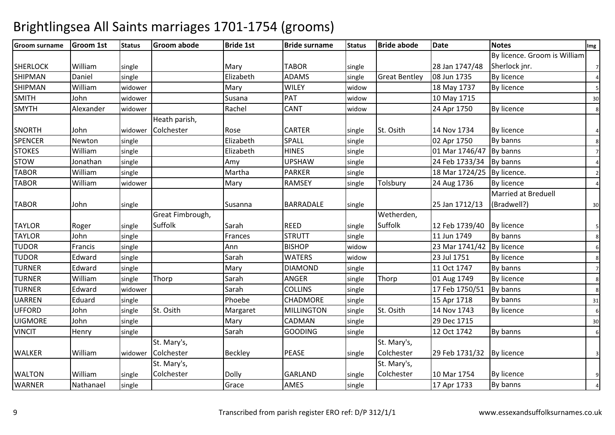#### Groom surnameGroom 1st | Status | Groom abode e Bride 1st Bride surname Status Bride abode Date Notes Notes Notes Notes SHERLOCK Williamm single Mary TABOR single 28 Jan 1747/48 By licence. Groom is William Sherlock jnr. <sup>7</sup>SHIPMANN Daniel single Elizabeth ADAMS single Great Bentley 08 Jun 1735 By licence 4 SHIPMAN<mark>William</mark><br>John m widower Mary WILEY widow 18 May 1737 By licence 5<br>The Mary Street Street Street Street Street Street Street Street Street Street Street Street Street Street Str SMITHH John widower Susana PAT widow widow 1 10 May 1715<br>
widow 24 Apr 1750 By licence SMYTHH Alexander widower Rachel CANT Widow  $\frac{24 \text{ Apr } 1750}{8}$  By licence 8 SNORTH John widower Heath parish, ColchesterRose **CARTER** R Single St. Osith 14 Nov 1734 By licence 4 **SPENCER** R Newton single Elizabeth SPALL single 02 Apr 1750 By banns 8 **STOKES**  Williamm | single | Elizabeth | HINES | single | 01 Mar 1746/47 By banns | 7<br>| The single | The single | The single | The single | The single | The single | The single | The single | The STOWW Jonathan single Amy UPSHAW single 24 Feb 1733/34 By banns 4<br>On William Later American Menths DADKED Later 2004 24 Feb 1733/34 By banns 4 TABOR Williamm single Martha PARKER single 18 Mar 1724/25 By licence. 2<br>2 TABOR Williamm widower Mary RAMSEY single Tolsbury 24 Aug 1736 By licence 4<br>And the Mary RAMSEY single Tolsbury 24 Aug 1736 By licence TABOR Johnn single Susanna BARRADALE single 25 Jan 1712/13 Married at Breduell (Bradwell?) $\frac{30}{2}$ TAYLOR Roger singleGreat Fimbrough, Suffolkk Sarah REED REED single<br>STRUTT single Wetherden, Suffolkk 12 Feb 1739/40 By licence 5 TAYLORR John single Frances STRUTT single 11 Jun 1749 By banns 8 TUDORR Francis single Ann BISHOP widow widow | 23 Mar 1741/42 By licence | 6<br>| 23 Jul 1751 By licence | 8 TUDORR Edward single Sarah Sarah WATERS widow  $\frac{23 \text{ Jul } 1751}{8}$  By licence  $\frac{8}{3}$ TURNERR Edward single Mary Mary DIAMOND D single 11 Oct 1747 By banns 7 TURNERWilliam<br>Edward single Thorp Sarah ANGER single Thorp 01 Aug 1749 By licence <sup>8</sup> TURNERR Edward widower Sarah COLLINS single 17 Feb 1750/51 By banns 8 UARRENN Eduard single Phoebe CHADMORE single 15 Apr 1718 By banns 31 UFFORDD John single St. Osith Margaret MILLINGTON N single St. Osith 14 Nov 1743 By licence 6 UIGMORE Johnn single Mary Mary CADMAN N | single | 29 Dec 1715 | 30 VINCITT Henry single Sarah Sarah GOODING G single 12 Oct 1742 By banns 6 WALKER William widower St. Mary's, **Colchester** Beckley PEASE single St. Mary's, Colchesterr 3 29 Feb 1731/32 By licence WALTON WilliamWilliam single<br>Nathanael single St. Mary's, Colchester Dolly GARLAND single St. Mary's, Colchester 10 Mar 1754 By licence <sup>9</sup> WARNERR Nathanael Single | Some | Grace | AMES | Single | 17 Apr 1733 | By banns | 4